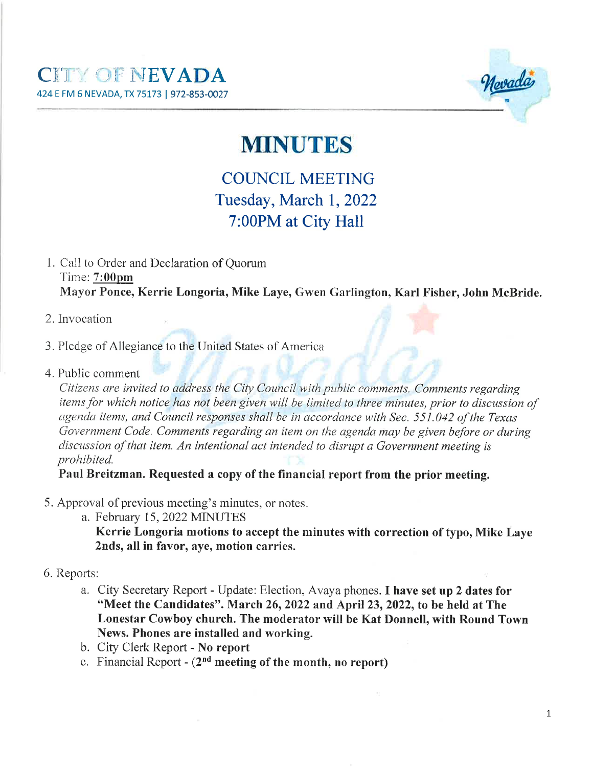

## **MINUTES**

## **COUNCIL MEETING** Tuesday, March 1, 2022 7:00PM at City Hall

- 1. Call to Order and Declaration of Ouorum Time: 7:00pm Mayor Ponce, Kerrie Longoria, Mike Laye, Gwen Garlington, Karl Fisher, John McBride.
- 2. Invocation
- 3. Pledge of Allegiance to the United States of America
- 4. Public comment

Citizens are invited to address the City Council with public comments. Comments regarding items for which notice has not been given will be limited to three minutes, prior to discussion of agenda items, and Council responses shall be in accordance with Sec. 551.042 of the Texas Government Code. Comments regarding an item on the agenda may be given before or during discussion of that item. An intentional act intended to disrupt a Government meeting is prohibited.

Paul Breitzman. Requested a copy of the financial report from the prior meeting.

- 5. Approval of previous meeting's minutes, or notes.
	- a. February 15, 2022 MINUTES

Kerrie Longoria motions to accept the minutes with correction of typo, Mike Laye 2nds, all in favor, ave, motion carries.

- 6. Reports:
	- a. City Secretary Report Update: Election, Avaya phones. I have set up 2 dates for "Meet the Candidates". March 26, 2022 and April 23, 2022, to be held at The Lonestar Cowboy church. The moderator will be Kat Donnell, with Round Town News. Phones are installed and working.
	- b. City Clerk Report No report
	- c. Financial Report  $(2<sup>nd</sup>$  meeting of the month, no report)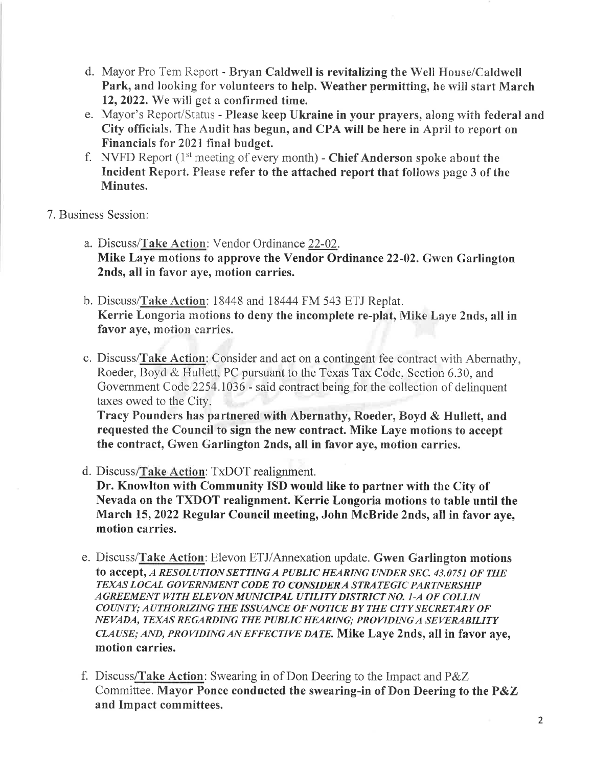- d. Mayor Pro Tem Report Bryan Caldwell is revitalizing the Well House/Caldwell Park, and looking for volunteers to help. Weather permitting, he will start March 12, 2022. We will get a confirmed time.
- e. Mayor's Report/Status Please keep Ukraine in your prayers, along with federal and City offïcials. The Audit has begun, and CPA will be here in April to report on Financials for 2021 final budget.
- f. NVFD Report  $(1^{st}$  meeting of every month) Chief Anderson spoke about the Incident Report. Please refer to the attached report that follows page 3 of the Minutes.
- 7. Business Session:
	- a. Discuss/Take Action: Vendor Ordinance 22-02. Mike Laye motions to approve the Vendor Ordinance 22-02. Gwen Garlington 2nds, all in favor aye, motion carries.
	- b. Discuss/fate Action: 18448 and 18444 FM 543 ETJ Replat. Kerrie Longoria motions to deny the incomplete re-plat, Mike Laye 2nds, all in favor aye, motion carries.
	- c. Discuss/Take Action: Consider and act on a contingent fee contract with Abernathy, Roeder, Boyd & Hullett, PC pursuant to the Texas Tax Code, Section 6.30, and Government Code 2254.1036 - said contract being for the collection of delinquent taxes owed to the City.

Tracy Pounders has partnered with Abernathy, Roeder, Boyd & Hullett, and requested the Council to sign the new contract. Mike Laye motions to accept the contract, Gwen Garlington 2nds, all in favor aye, motion carries.

d. Discuss/Take Action: TxDOT realignment.

Dr. Knowlton with Communify ISD would like to partner with the City of Nevada on the TXDOT realignment. Kerrie Longoria motions to table until the March 15,2022 Regular Council meeting, John McBride 2nds, all in favor aye, motion carries.

- e. Discuss/**Take Action**: Elevon ETJ/Annexation update. Gwen Garlington motions to accept, A RESOLUTION SETTING A PUBLIC HEARING UNDER SEC. 43.0751 OF THE TEXAS LOCAL GOVERNMENT CODE TO CONSIDERA STRATEGIC PARTNERSHIP AGREEMENT WITH ELEVON MUNICIPAL UTILITY DISTRICT NO. 1-A OF COLLIN COUNTY; AUTHORIZING THE ISSUANCE OF NOTICE BY THE CITY SECRETARY OF NEVADA, TEXAS REGARDING THE PUBLIC HEARING; PROVIDINGA SEVERABILITY CLAUSE; AND, PROVIDING AN EFFECTIVE DATE. Mike Laye 2nds, all in favor aye, motion carries.
- f. Discuss/Take Action: Swearing in of Don Deering to the Impact and  $P\&Z$ Committee. Mayor Ponce conducted the swearing-in of Don Deering to the P&Z and Impact committees.